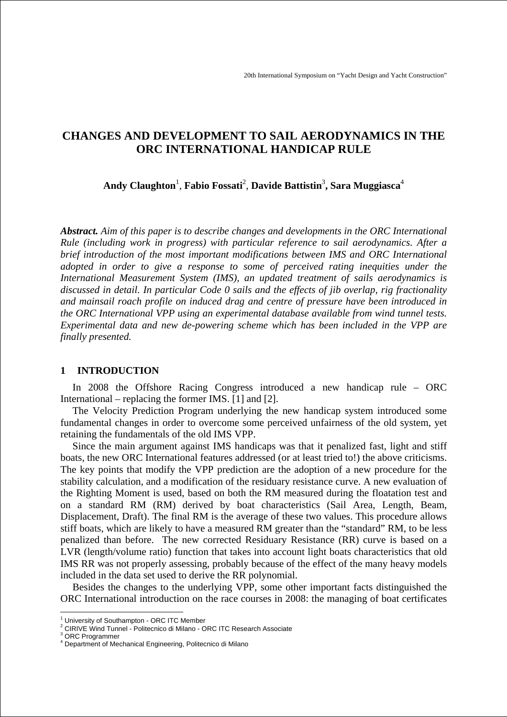# **CHANGES AND DEVELOPMENT TO SAIL AERODYNAMICS IN THE ORC INTERNATIONAL HANDICAP RULE**

**Andy Claughton**<sup>1</sup> , **Fabio Fossati**<sup>2</sup> , **Davide Battistin**<sup>3</sup> **, Sara Muggiasca**<sup>4</sup>

*Abstract. Aim of this paper is to describe changes and developments in the ORC International Rule (including work in progress) with particular reference to sail aerodynamics. After a brief introduction of the most important modifications between IMS and ORC International adopted in order to give a response to some of perceived rating inequities under the International Measurement System (IMS), an updated treatment of sails aerodynamics is discussed in detail. In particular Code 0 sails and the effects of jib overlap, rig fractionality and mainsail roach profile on induced drag and centre of pressure have been introduced in the ORC International VPP using an experimental database available from wind tunnel tests. Experimental data and new de-powering scheme which has been included in the VPP are finally presented.* 

### **1 INTRODUCTION**

In 2008 the Offshore Racing Congress introduced a new handicap rule – ORC International – replacing the former IMS. [1] and [2].

The Velocity Prediction Program underlying the new handicap system introduced some fundamental changes in order to overcome some perceived unfairness of the old system, yet retaining the fundamentals of the old IMS VPP.

Since the main argument against IMS handicaps was that it penalized fast, light and stiff boats, the new ORC International features addressed (or at least tried to!) the above criticisms. The key points that modify the VPP prediction are the adoption of a new procedure for the stability calculation, and a modification of the residuary resistance curve. A new evaluation of the Righting Moment is used, based on both the RM measured during the floatation test and on a standard RM (RM) derived by boat characteristics (Sail Area, Length, Beam, Displacement, Draft). The final RM is the average of these two values. This procedure allows stiff boats, which are likely to have a measured RM greater than the "standard" RM, to be less penalized than before. The new corrected Residuary Resistance (RR) curve is based on a LVR (length/volume ratio) function that takes into account light boats characteristics that old IMS RR was not properly assessing, probably because of the effect of the many heavy models included in the data set used to derive the RR polynomial.

Besides the changes to the underlying VPP, some other important facts distinguished the ORC International introduction on the race courses in 2008: the managing of boat certificates

 $\overline{a}$ 

<sup>&</sup>lt;sup>1</sup> University of Southampton - ORC ITC Member

<sup>&</sup>lt;sup>2</sup> CIRIVE Wind Tunnel - Politecnico di Milano - ORC ITC Research Associate<br><sup>3</sup> OPC Prestemmer

ORC Programmer

<sup>4</sup> Department of Mechanical Engineering, Politecnico di Milano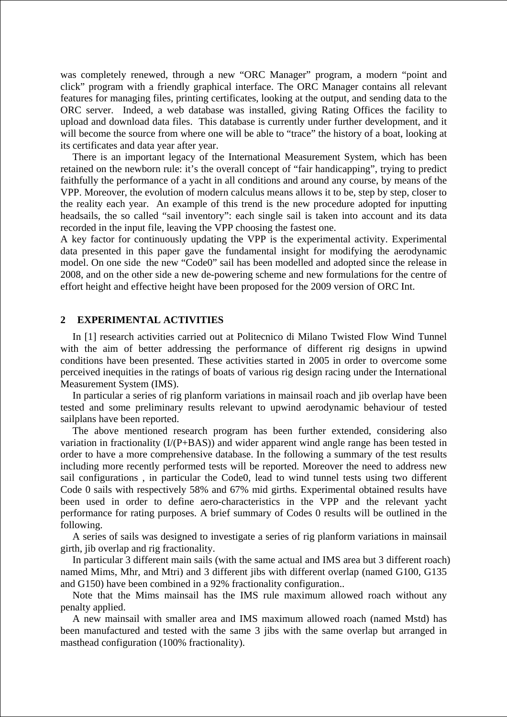was completely renewed, through a new "ORC Manager" program, a modern "point and click" program with a friendly graphical interface. The ORC Manager contains all relevant features for managing files, printing certificates, looking at the output, and sending data to the ORC server. Indeed, a web database was installed, giving Rating Offices the facility to upload and download data files. This database is currently under further development, and it will become the source from where one will be able to "trace" the history of a boat, looking at its certificates and data year after year.

There is an important legacy of the International Measurement System, which has been retained on the newborn rule: it's the overall concept of "fair handicapping", trying to predict faithfully the performance of a yacht in all conditions and around any course, by means of the VPP. Moreover, the evolution of modern calculus means allows it to be, step by step, closer to the reality each year. An example of this trend is the new procedure adopted for inputting headsails, the so called "sail inventory": each single sail is taken into account and its data recorded in the input file, leaving the VPP choosing the fastest one.

A key factor for continuously updating the VPP is the experimental activity. Experimental data presented in this paper gave the fundamental insight for modifying the aerodynamic model. On one side the new "Code0" sail has been modelled and adopted since the release in 2008, and on the other side a new de-powering scheme and new formulations for the centre of effort height and effective height have been proposed for the 2009 version of ORC Int.

### **2 EXPERIMENTAL ACTIVITIES**

In [1] research activities carried out at Politecnico di Milano Twisted Flow Wind Tunnel with the aim of better addressing the performance of different rig designs in upwind conditions have been presented. These activities started in 2005 in order to overcome some perceived inequities in the ratings of boats of various rig design racing under the International Measurement System (IMS).

In particular a series of rig planform variations in mainsail roach and jib overlap have been tested and some preliminary results relevant to upwind aerodynamic behaviour of tested sailplans have been reported.

The above mentioned research program has been further extended, considering also variation in fractionality (I/(P+BAS)) and wider apparent wind angle range has been tested in order to have a more comprehensive database. In the following a summary of the test results including more recently performed tests will be reported. Moreover the need to address new sail configurations , in particular the Code0, lead to wind tunnel tests using two different Code 0 sails with respectively 58% and 67% mid girths. Experimental obtained results have been used in order to define aero-characteristics in the VPP and the relevant yacht performance for rating purposes. A brief summary of Codes 0 results will be outlined in the following.

A series of sails was designed to investigate a series of rig planform variations in mainsail girth, jib overlap and rig fractionality.

In particular 3 different main sails (with the same actual and IMS area but 3 different roach) named Mims, Mhr, and Mtri) and 3 different jibs with different overlap (named G100, G135 and G150) have been combined in a 92% fractionality configuration..

Note that the Mims mainsail has the IMS rule maximum allowed roach without any penalty applied.

A new mainsail with smaller area and IMS maximum allowed roach (named Mstd) has been manufactured and tested with the same 3 jibs with the same overlap but arranged in masthead configuration (100% fractionality).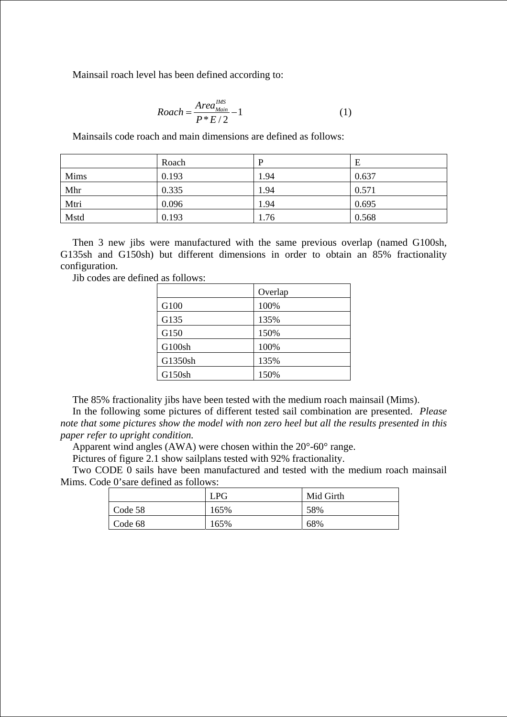Mainsail roach level has been defined according to:

$$
Roach = \frac{Area_{Main}}{P * E / 2} - 1 \tag{1}
$$

Mainsails code roach and main dimensions are defined as follows:

|      | Roach | D    | Ε     |
|------|-------|------|-------|
| Mims | 0.193 | 1.94 | 0.637 |
| Mhr  | 0.335 | 1.94 | 0.571 |
| Mtri | 0.096 | 1.94 | 0.695 |
| Mstd | 0.193 | 1.76 | 0.568 |

Then 3 new jibs were manufactured with the same previous overlap (named G100sh, G135sh and G150sh) but different dimensions in order to obtain an 85% fractionality configuration.

Jib codes are defined as follows:

|         | Overlap |
|---------|---------|
| G100    | 100%    |
| G135    | 135%    |
| G150    | 150%    |
| G100sh  | 100%    |
| G1350sh | 135%    |
| G150sh  | 150%    |

The 85% fractionality jibs have been tested with the medium roach mainsail (Mims).

In the following some pictures of different tested sail combination are presented. *Please note that some pictures show the model with non zero heel but all the results presented in this paper refer to upright condition.*

Apparent wind angles (AWA) were chosen within the 20°-60° range.

Pictures of figure 2.1 show sailplans tested with 92% fractionality.

Two CODE 0 sails have been manufactured and tested with the medium roach mainsail Mims. Code 0'sare defined as follows:

|                 | <b>LPG</b> | Mid Girth |
|-----------------|------------|-----------|
| Code 58         | 165%       | 58%       |
| $\vert$ Code 68 | 165%       | 68%       |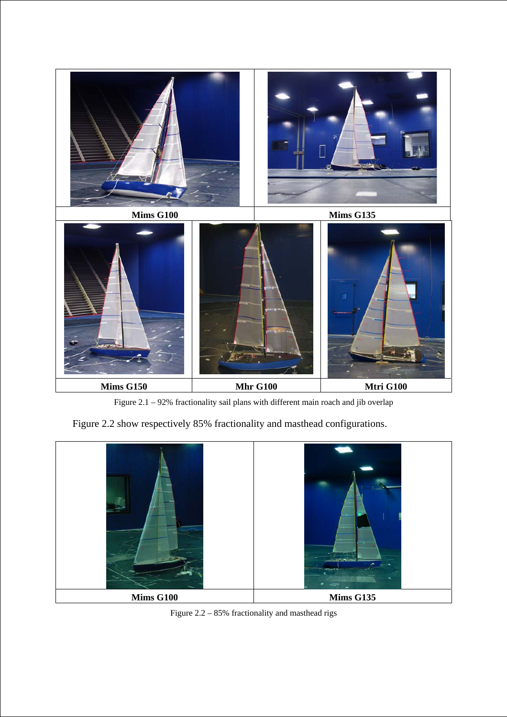

Figure 2.1 – 92% fractionality sail plans with different main roach and jib overlap

Figure 2.2 show respectively 85% fractionality and masthead configurations.



Figure 2.2 – 85% fractionality and masthead rigs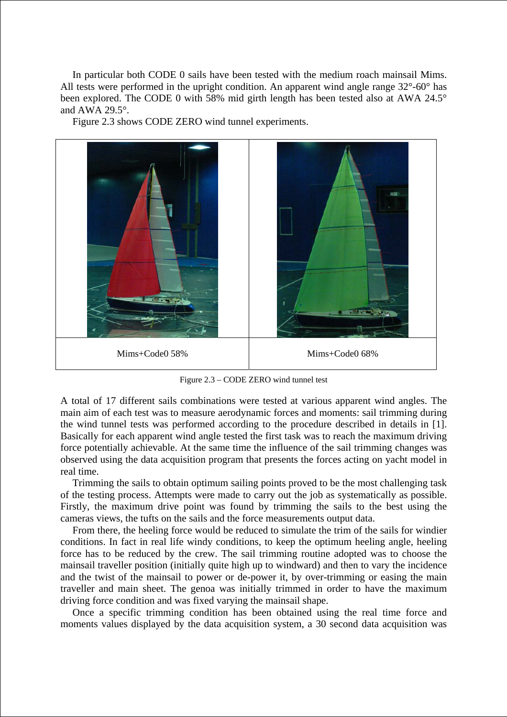In particular both CODE 0 sails have been tested with the medium roach mainsail Mims. All tests were performed in the upright condition. An apparent wind angle range 32°-60° has been explored. The CODE 0 with 58% mid girth length has been tested also at AWA 24.5° and AWA 29.5°.

Figure 2.3 shows CODE ZERO wind tunnel experiments.



Figure 2.3 – CODE ZERO wind tunnel test

A total of 17 different sails combinations were tested at various apparent wind angles. The main aim of each test was to measure aerodynamic forces and moments: sail trimming during the wind tunnel tests was performed according to the procedure described in details in [1]. Basically for each apparent wind angle tested the first task was to reach the maximum driving force potentially achievable. At the same time the influence of the sail trimming changes was observed using the data acquisition program that presents the forces acting on yacht model in real time.

Trimming the sails to obtain optimum sailing points proved to be the most challenging task of the testing process. Attempts were made to carry out the job as systematically as possible. Firstly, the maximum drive point was found by trimming the sails to the best using the cameras views, the tufts on the sails and the force measurements output data.

From there, the heeling force would be reduced to simulate the trim of the sails for windier conditions. In fact in real life windy conditions, to keep the optimum heeling angle, heeling force has to be reduced by the crew. The sail trimming routine adopted was to choose the mainsail traveller position (initially quite high up to windward) and then to vary the incidence and the twist of the mainsail to power or de-power it, by over-trimming or easing the main traveller and main sheet. The genoa was initially trimmed in order to have the maximum driving force condition and was fixed varying the mainsail shape.

Once a specific trimming condition has been obtained using the real time force and moments values displayed by the data acquisition system, a 30 second data acquisition was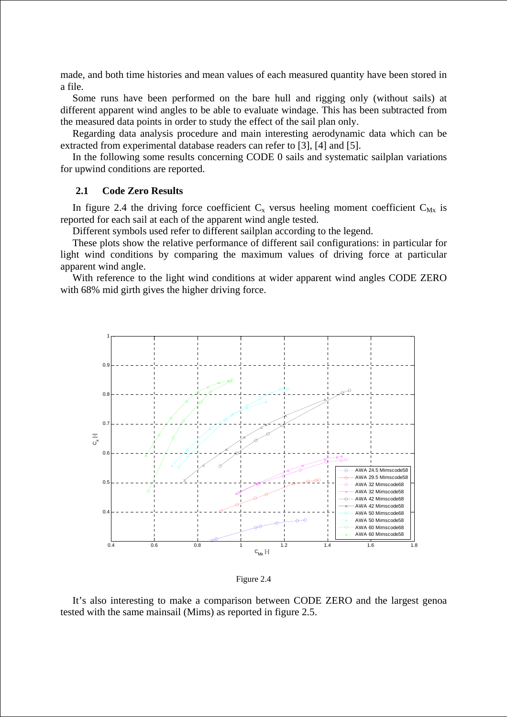made, and both time histories and mean values of each measured quantity have been stored in a file.

Some runs have been performed on the bare hull and rigging only (without sails) at different apparent wind angles to be able to evaluate windage. This has been subtracted from the measured data points in order to study the effect of the sail plan only.

Regarding data analysis procedure and main interesting aerodynamic data which can be extracted from experimental database readers can refer to [3], [4] and [5].

In the following some results concerning CODE 0 sails and systematic sailplan variations for upwind conditions are reported.

#### **2.1 Code Zero Results**

In figure 2.4 the driving force coefficient  $C_x$  versus heeling moment coefficient  $C_{Mx}$  is reported for each sail at each of the apparent wind angle tested.

Different symbols used refer to different sailplan according to the legend.

These plots show the relative performance of different sail configurations: in particular for light wind conditions by comparing the maximum values of driving force at particular apparent wind angle.

With reference to the light wind conditions at wider apparent wind angles CODE ZERO with 68% mid girth gives the higher driving force.



Figure 2.4

It's also interesting to make a comparison between CODE ZERO and the largest genoa tested with the same mainsail (Mims) as reported in figure 2.5.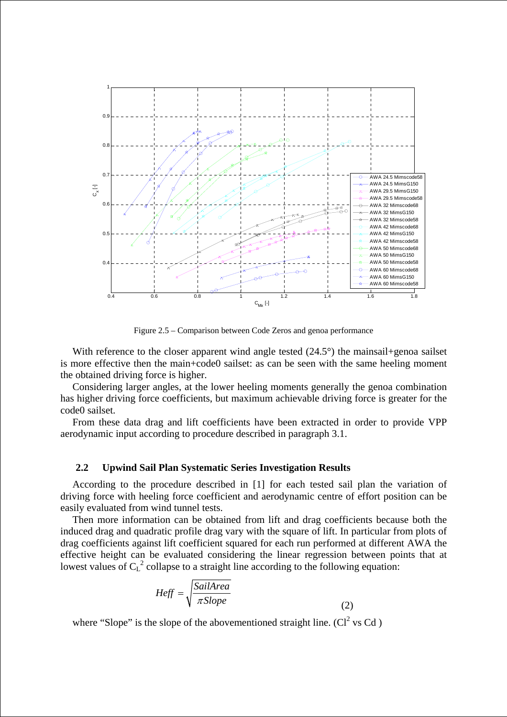

Figure 2.5 – Comparison between Code Zeros and genoa performance

With reference to the closer apparent wind angle tested  $(24.5^{\circ})$  the mainsail+genoa sailset is more effective then the main+code0 sailset: as can be seen with the same heeling moment the obtained driving force is higher.

Considering larger angles, at the lower heeling moments generally the genoa combination has higher driving force coefficients, but maximum achievable driving force is greater for the code0 sailset.

From these data drag and lift coefficients have been extracted in order to provide VPP aerodynamic input according to procedure described in paragraph 3.1.

#### **2.2 Upwind Sail Plan Systematic Series Investigation Results**

According to the procedure described in [1] for each tested sail plan the variation of driving force with heeling force coefficient and aerodynamic centre of effort position can be easily evaluated from wind tunnel tests.

Then more information can be obtained from lift and drag coefficients because both the induced drag and quadratic profile drag vary with the square of lift. In particular from plots of drag coefficients against lift coefficient squared for each run performed at different AWA the effective height can be evaluated considering the linear regression between points that at lowest values of  $C_L^2$  collapse to a straight line according to the following equation:

$$
Heff = \sqrt{\frac{SailArea}{\pi Slope}}\tag{2}
$$

where "Slope" is the slope of the abovementioned straight line.  $(Cl^2$  vs Cd)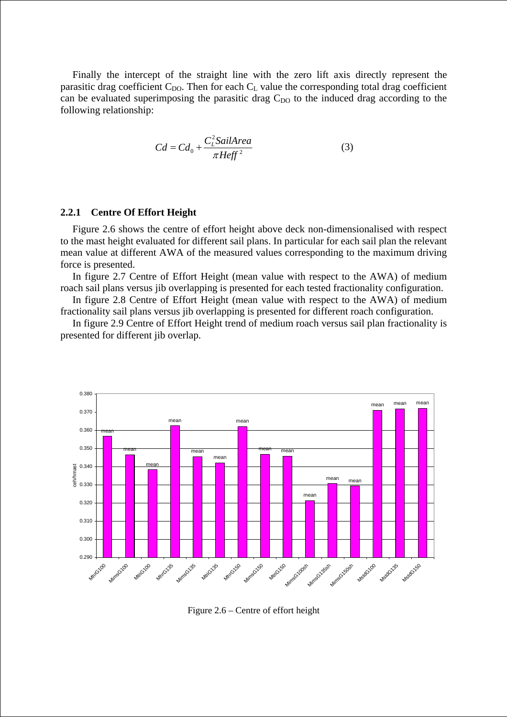Finally the intercept of the straight line with the zero lift axis directly represent the parasitic drag coefficient  $C_{DO}$ . Then for each  $C_L$  value the corresponding total drag coefficient can be evaluated superimposing the parasitic drag  $C_{\text{DO}}$  to the induced drag according to the following relationship:

$$
Cd = Cd_0 + \frac{C_L^2 \text{SailArea}}{\pi \text{Heff}^2}
$$
 (3)

### **2.2.1 Centre Of Effort Height**

Figure 2.6 shows the centre of effort height above deck non-dimensionalised with respect to the mast height evaluated for different sail plans. In particular for each sail plan the relevant mean value at different AWA of the measured values corresponding to the maximum driving force is presented.

In figure 2.7 Centre of Effort Height (mean value with respect to the AWA) of medium roach sail plans versus jib overlapping is presented for each tested fractionality configuration.

In figure 2.8 Centre of Effort Height (mean value with respect to the AWA) of medium fractionality sail plans versus jib overlapping is presented for different roach configuration.

In figure 2.9 Centre of Effort Height trend of medium roach versus sail plan fractionality is presented for different jib overlap.



Figure 2.6 – Centre of effort height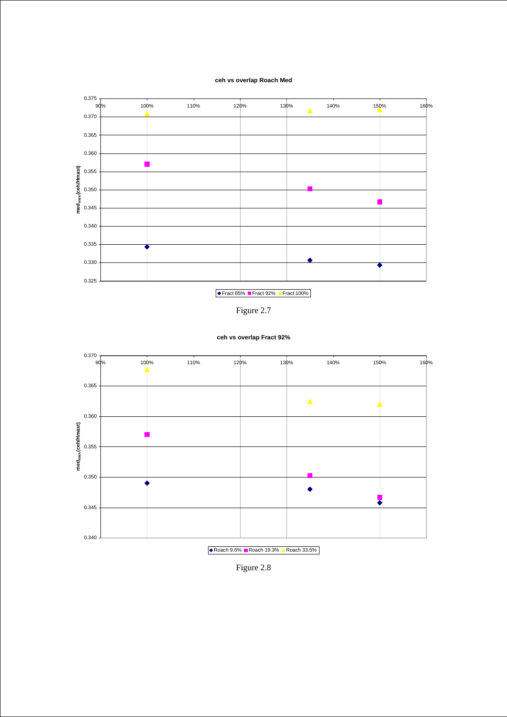#### **ceh vs overlap Roach Med**









**ceh vs overlap Fract 92%**

Figure 2.8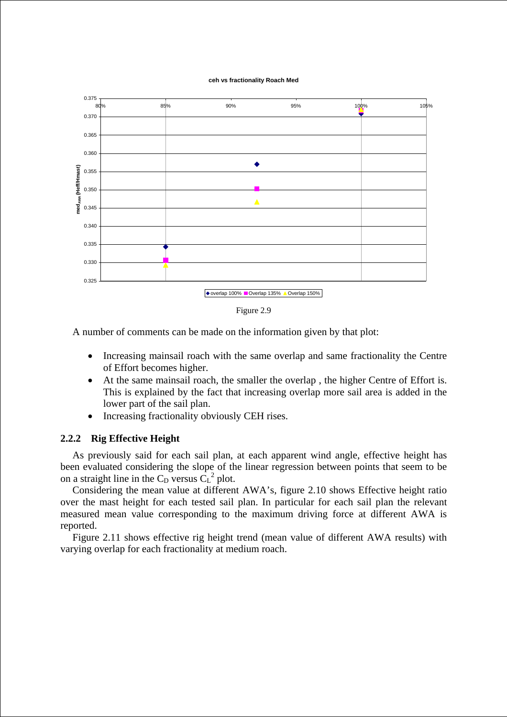#### **ceh vs fractionality Roach Med**



Figure 2.9

A number of comments can be made on the information given by that plot:

- Increasing mainsail roach with the same overlap and same fractionality the Centre of Effort becomes higher.
- At the same mainsail roach, the smaller the overlap , the higher Centre of Effort is. This is explained by the fact that increasing overlap more sail area is added in the lower part of the sail plan.
- Increasing fractionality obviously CEH rises.

### **2.2.2 Rig Effective Height**

As previously said for each sail plan, at each apparent wind angle, effective height has been evaluated considering the slope of the linear regression between points that seem to be on a straight line in the  $C_D$  versus  $C_L^2$  plot.

Considering the mean value at different AWA's, figure 2.10 shows Effective height ratio over the mast height for each tested sail plan. In particular for each sail plan the relevant measured mean value corresponding to the maximum driving force at different AWA is reported.

Figure 2.11 shows effective rig height trend (mean value of different AWA results) with varying overlap for each fractionality at medium roach.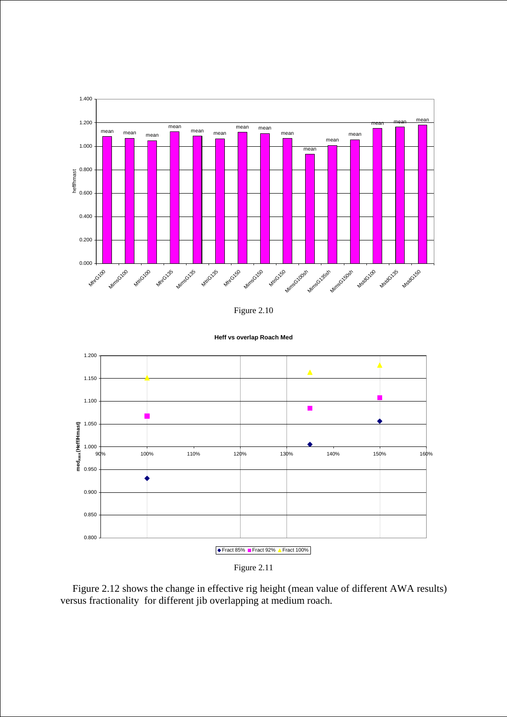





```
Heff vs overlap Roach Med
```
Figure 2.11

Figure 2.12 shows the change in effective rig height (mean value of different AWA results) versus fractionality for different jib overlapping at medium roach.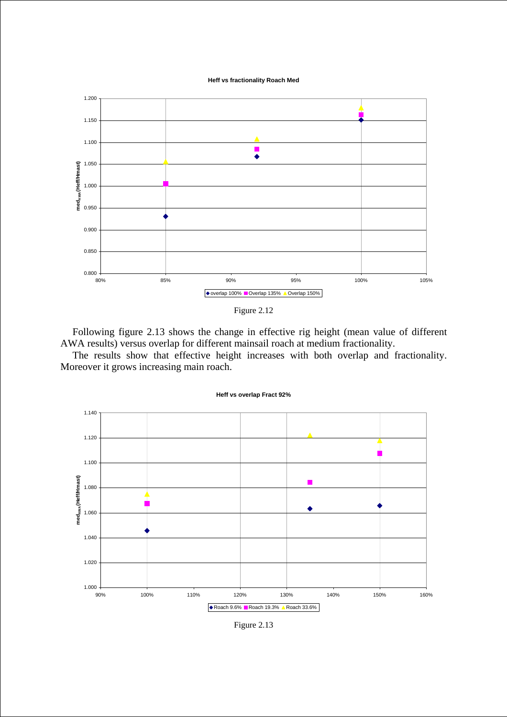**Heff vs fractionality Roach Med**





Following figure 2.13 shows the change in effective rig height (mean value of different AWA results) versus overlap for different mainsail roach at medium fractionality.

The results show that effective height increases with both overlap and fractionality. Moreover it grows increasing main roach.



Figure 2.13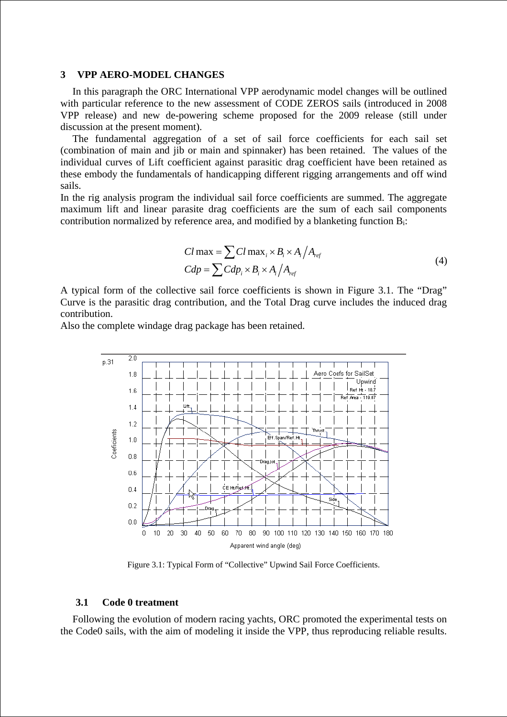## **3 VPP AERO-MODEL CHANGES**

In this paragraph the ORC International VPP aerodynamic model changes will be outlined with particular reference to the new assessment of CODE ZEROS sails (introduced in 2008 VPP release) and new de-powering scheme proposed for the 2009 release (still under discussion at the present moment).

The fundamental aggregation of a set of sail force coefficients for each sail set (combination of main and jib or main and spinnaker) has been retained. The values of the individual curves of Lift coefficient against parasitic drag coefficient have been retained as these embody the fundamentals of handicapping different rigging arrangements and off wind sails.

In the rig analysis program the individual sail force coefficients are summed. The aggregate maximum lift and linear parasite drag coefficients are the sum of each sail components contribution normalized by reference area, and modified by a blanketing function Bi:

$$
Cl \max = \sum Cl \max_{i} \times B_{i} \times A_{i} / A_{ref}
$$
  
\n
$$
Cdp = \sum Clap_{i} \times B_{i} \times A_{i} / A_{ref}
$$
\n(4)

A typical form of the collective sail force coefficients is shown in Figure 3.1. The "Drag" Curve is the parasitic drag contribution, and the Total Drag curve includes the induced drag contribution.

Also the complete windage drag package has been retained.



Figure 3.1: Typical Form of "Collective" Upwind Sail Force Coefficients.

#### **3.1 Code 0 treatment**

Following the evolution of modern racing yachts, ORC promoted the experimental tests on the Code0 sails, with the aim of modeling it inside the VPP, thus reproducing reliable results.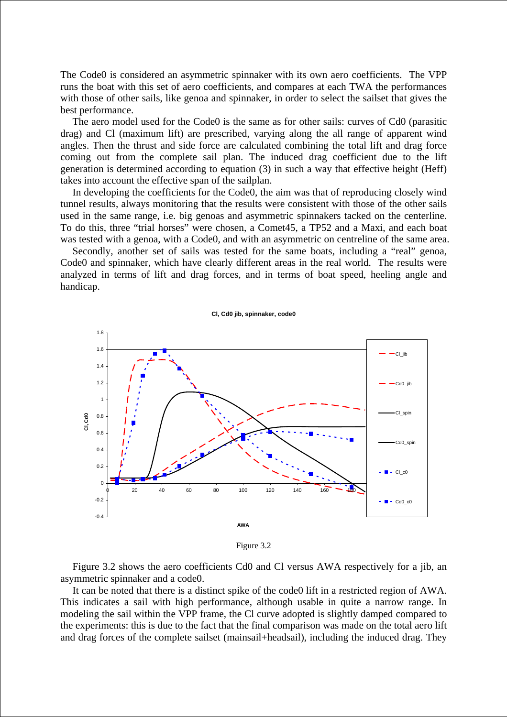The Code0 is considered an asymmetric spinnaker with its own aero coefficients. The VPP runs the boat with this set of aero coefficients, and compares at each TWA the performances with those of other sails, like genoa and spinnaker, in order to select the sailset that gives the best performance.

The aero model used for the Code0 is the same as for other sails: curves of Cd0 (parasitic drag) and Cl (maximum lift) are prescribed, varying along the all range of apparent wind angles. Then the thrust and side force are calculated combining the total lift and drag force coming out from the complete sail plan. The induced drag coefficient due to the lift generation is determined according to equation (3) in such a way that effective height (Heff) takes into account the effective span of the sailplan.

In developing the coefficients for the Code0, the aim was that of reproducing closely wind tunnel results, always monitoring that the results were consistent with those of the other sails used in the same range, i.e. big genoas and asymmetric spinnakers tacked on the centerline. To do this, three "trial horses" were chosen, a Comet45, a TP52 and a Maxi, and each boat was tested with a genoa, with a Code0, and with an asymmetric on centreline of the same area.

Secondly, another set of sails was tested for the same boats, including a "real" genoa, Code0 and spinnaker, which have clearly different areas in the real world. The results were analyzed in terms of lift and drag forces, and in terms of boat speed, heeling angle and handicap.



Figure 3.2

Figure 3.2 shows the aero coefficients Cd0 and Cl versus AWA respectively for a jib, an asymmetric spinnaker and a code0.

It can be noted that there is a distinct spike of the code0 lift in a restricted region of AWA. This indicates a sail with high performance, although usable in quite a narrow range. In modeling the sail within the VPP frame, the Cl curve adopted is slightly damped compared to the experiments: this is due to the fact that the final comparison was made on the total aero lift and drag forces of the complete sailset (mainsail+headsail), including the induced drag. They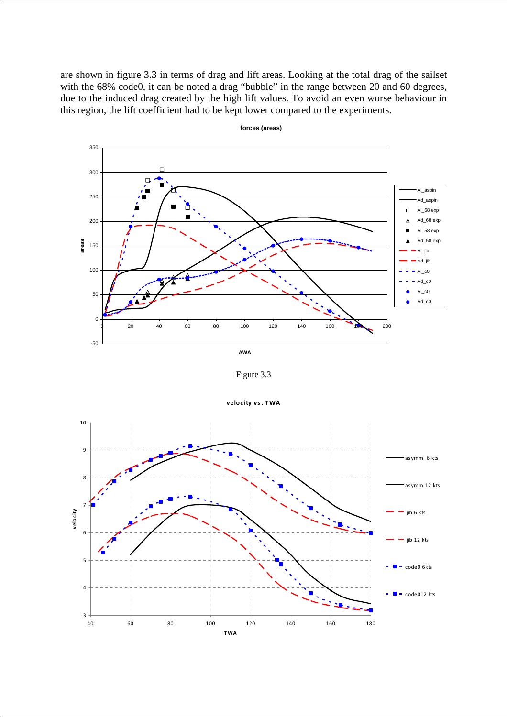are shown in figure 3.3 in terms of drag and lift areas. Looking at the total drag of the sailset with the 68% code0, it can be noted a drag "bubble" in the range between 20 and 60 degrees, due to the induced drag created by the high lift values. To avoid an even worse behaviour in this region, the lift coefficient had to be kept lower compared to the experiments.



**forces (areas)**

**AWA**

Figure 3.3



**veloc ity vs. TWA**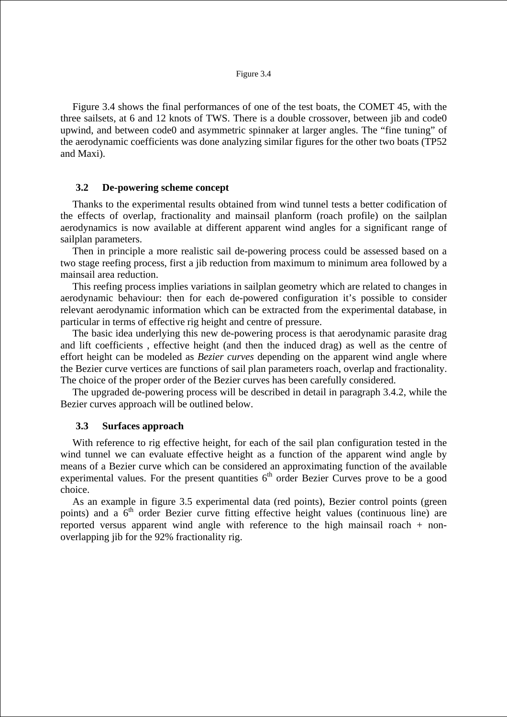Figure 3.4 shows the final performances of one of the test boats, the COMET 45, with the three sailsets, at 6 and 12 knots of TWS. There is a double crossover, between jib and code0 upwind, and between code0 and asymmetric spinnaker at larger angles. The "fine tuning" of the aerodynamic coefficients was done analyzing similar figures for the other two boats (TP52 and Maxi).

### **3.2 De-powering scheme concept**

Thanks to the experimental results obtained from wind tunnel tests a better codification of the effects of overlap, fractionality and mainsail planform (roach profile) on the sailplan aerodynamics is now available at different apparent wind angles for a significant range of sailplan parameters.

Then in principle a more realistic sail de-powering process could be assessed based on a two stage reefing process, first a jib reduction from maximum to minimum area followed by a mainsail area reduction.

This reefing process implies variations in sailplan geometry which are related to changes in aerodynamic behaviour: then for each de-powered configuration it's possible to consider relevant aerodynamic information which can be extracted from the experimental database, in particular in terms of effective rig height and centre of pressure.

The basic idea underlying this new de-powering process is that aerodynamic parasite drag and lift coefficients , effective height (and then the induced drag) as well as the centre of effort height can be modeled as *Bezier curves* depending on the apparent wind angle where the Bezier curve vertices are functions of sail plan parameters roach, overlap and fractionality. The choice of the proper order of the Bezier curves has been carefully considered.

The upgraded de-powering process will be described in detail in paragraph 3.4.2, while the Bezier curves approach will be outlined below.

### **3.3 Surfaces approach**

With reference to rig effective height, for each of the sail plan configuration tested in the wind tunnel we can evaluate effective height as a function of the apparent wind angle by means of a Bezier curve which can be considered an approximating function of the available experimental values. For the present quantities  $6<sup>th</sup>$  order Bezier Curves prove to be a good choice.

As an example in figure 3.5 experimental data (red points), Bezier control points (green points) and a  $6<sup>th</sup>$  order Bezier curve fitting effective height values (continuous line) are reported versus apparent wind angle with reference to the high mainsail roach + nonoverlapping jib for the 92% fractionality rig.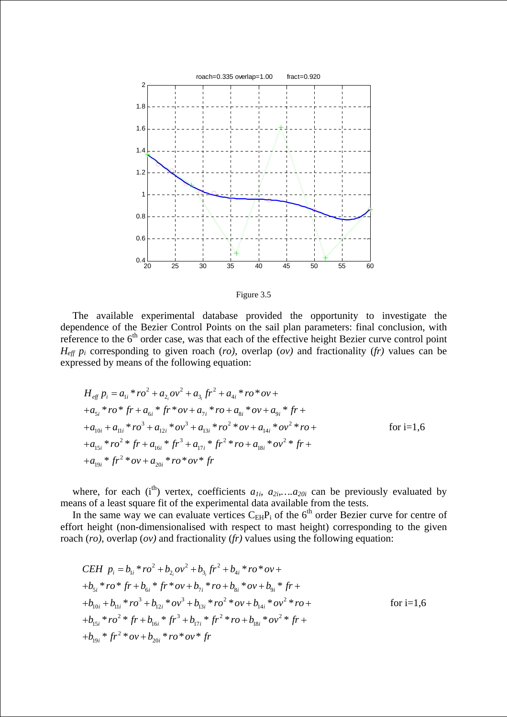

Figure 3.5

The available experimental database provided the opportunity to investigate the dependence of the Bezier Control Points on the sail plan parameters: final conclusion, with reference to the 6<sup>th</sup> order case, was that each of the effective height Bezier curve control point  $H_{\text{eff}}$  p<sub>i</sub> corresponding to given roach (*ro*), overlap (*ov*) and fractionality (*fr*) values can be expressed by means of the following equation:

$$
H_{eff} p_i = a_{1i} * ro^2 + a_{2i}ov^2 + a_{3i}fr^2 + a_{4i} * ro * ov ++ a_{5i} * ro * fr + a_{6i} * fr * ov + a_{7i} * ro + a_{8i} * ov + a_{9i} * fr ++ a_{10i} + a_{11i} * ro^3 + a_{12i} * ov^3 + a_{13i} * ro^2 * ov + a_{14i} * ov^2 * ro ++ a_{15i} * ro^2 * fr + a_{16i} * fr^3 + a_{17i} * fr^2 * ro + a_{18i} * ov^2 * fr ++ a_{19i} * fr^2 * ov + a_{20i} * ro * ov * fr
$$

where, for each (i<sup>th</sup>) vertex, coefficients  $a_{1i}$ ,  $a_{2i}$ ,..., $a_{20i}$  can be previously evaluated by means of a least square fit of the experimental data available from the tests.

In the same way we can evaluate vertices  $C_{EH}P_i$  of the 6<sup>th</sup> order Bezier curve for centre of effort height (non-dimensionalised with respect to mast height) corresponding to the given roach (*ro)*, overlap (*ov)* and fractionality (*fr)* values using the following equation:

$$
CEH \t p_i = b_{1i} * ro^2 + b_{2i}ov^2 + b_{3i}fr^2 + b_{4i} * ro * ov ++b_{5i} * ro * fr + b_{6i} * fr * ov + b_{7i} * ro + b_{8i} * ov + b_{9i} * fr ++b_{10i} + b_{11i} * ro^3 + b_{12i} * ov^3 + b_{13i} * ro^2 * ov + b_{14i} * ov^2 * ro ++b_{15i} * ro^2 * fr + b_{16i} * fr^3 + b_{17i} * fr^2 * ro + b_{18i} * ov^2 * fr ++b_{19i} * fr^2 * ov + b_{20i} * ro * ov * fr
$$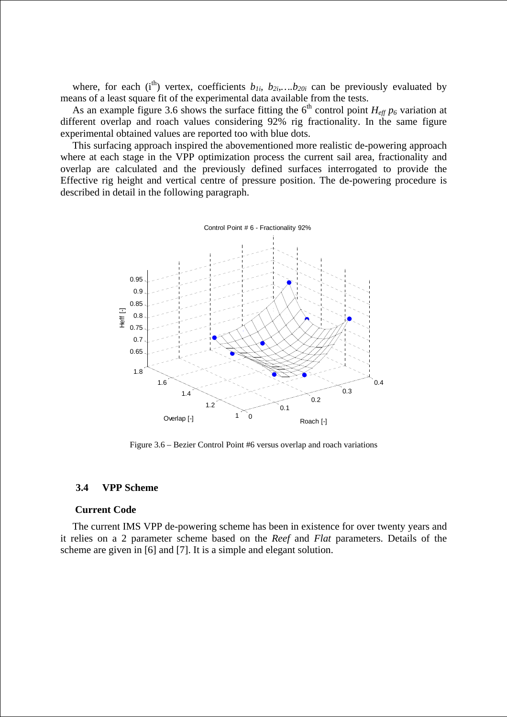where, for each (i<sup>th</sup>) vertex, coefficients  $b_{1i}$ ,  $b_{2i}$ ,..., $b_{20i}$  can be previously evaluated by means of a least square fit of the experimental data available from the tests.

As an example figure 3.6 shows the surface fitting the  $6<sup>th</sup>$  control point  $H_{eff} p_6$  variation at different overlap and roach values considering 92% rig fractionality. In the same figure experimental obtained values are reported too with blue dots.

This surfacing approach inspired the abovementioned more realistic de-powering approach where at each stage in the VPP optimization process the current sail area, fractionality and overlap are calculated and the previously defined surfaces interrogated to provide the Effective rig height and vertical centre of pressure position. The de-powering procedure is described in detail in the following paragraph.



Figure 3.6 – Bezier Control Point #6 versus overlap and roach variations

#### **3.4 VPP Scheme**

#### **Current Code**

The current IMS VPP de-powering scheme has been in existence for over twenty years and it relies on a 2 parameter scheme based on the *Reef* and *Flat* parameters. Details of the scheme are given in [6] and [7]. It is a simple and elegant solution.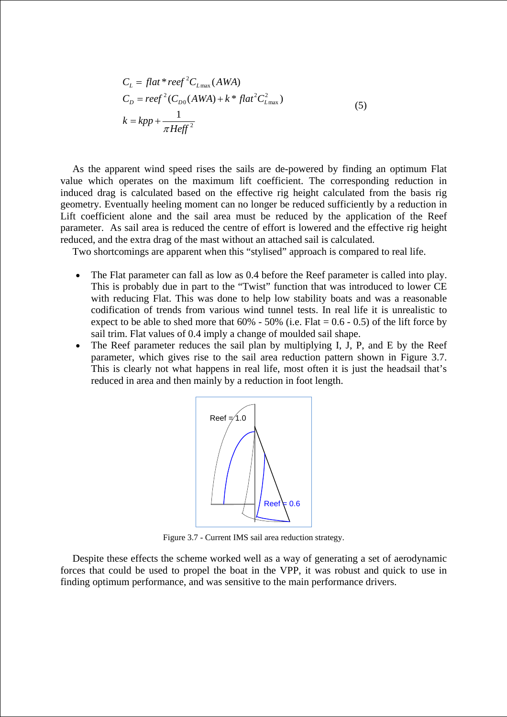$$
C_L = flat * reef2C_{Lmax}(AWA)
$$
  
\n
$$
C_D = reef2(C_{D0}(AWA) + k * flat2C_{Lmax}^{2})
$$
  
\n
$$
k = kpp + \frac{1}{\pi Heff2}
$$
\n(5)

As the apparent wind speed rises the sails are de-powered by finding an optimum Flat value which operates on the maximum lift coefficient. The corresponding reduction in induced drag is calculated based on the effective rig height calculated from the basis rig geometry. Eventually heeling moment can no longer be reduced sufficiently by a reduction in Lift coefficient alone and the sail area must be reduced by the application of the Reef parameter. As sail area is reduced the centre of effort is lowered and the effective rig height reduced, and the extra drag of the mast without an attached sail is calculated.

Two shortcomings are apparent when this "stylised" approach is compared to real life.

- The Flat parameter can fall as low as 0.4 before the Reef parameter is called into play. This is probably due in part to the "Twist" function that was introduced to lower CE with reducing Flat. This was done to help low stability boats and was a reasonable codification of trends from various wind tunnel tests. In real life it is unrealistic to expect to be able to shed more that  $60\%$  - 50% (i.e. Flat = 0.6 - 0.5) of the lift force by sail trim. Flat values of 0.4 imply a change of moulded sail shape.
- The Reef parameter reduces the sail plan by multiplying I, J, P, and E by the Reef parameter, which gives rise to the sail area reduction pattern shown in Figure 3.7. This is clearly not what happens in real life, most often it is just the headsail that's reduced in area and then mainly by a reduction in foot length.



Figure 3.7 - Current IMS sail area reduction strategy.

Despite these effects the scheme worked well as a way of generating a set of aerodynamic forces that could be used to propel the boat in the VPP, it was robust and quick to use in finding optimum performance, and was sensitive to the main performance drivers.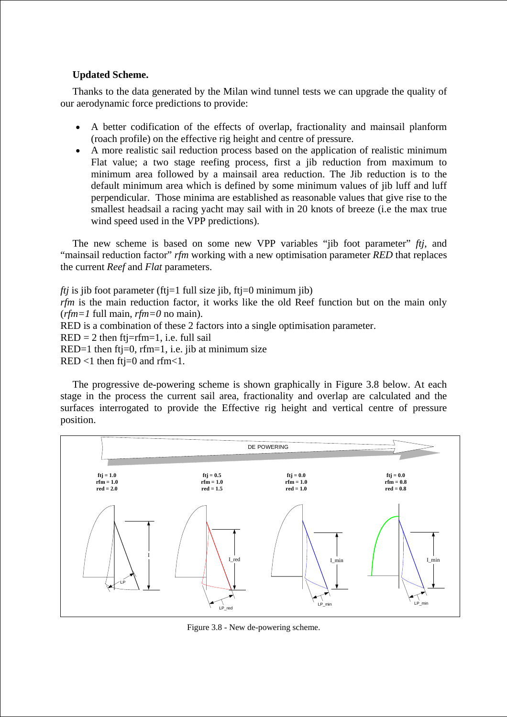# **Updated Scheme.**

Thanks to the data generated by the Milan wind tunnel tests we can upgrade the quality of our aerodynamic force predictions to provide:

- A better codification of the effects of overlap, fractionality and mainsail planform (roach profile) on the effective rig height and centre of pressure.
- A more realistic sail reduction process based on the application of realistic minimum Flat value; a two stage reefing process, first a jib reduction from maximum to minimum area followed by a mainsail area reduction. The Jib reduction is to the default minimum area which is defined by some minimum values of jib luff and luff perpendicular. Those minima are established as reasonable values that give rise to the smallest headsail a racing yacht may sail with in 20 knots of breeze (i.e the max true wind speed used in the VPP predictions).

The new scheme is based on some new VPP variables "jib foot parameter" *ftj*, and "mainsail reduction factor" *rfm* working with a new optimisation parameter *RED* that replaces the current *Reef* and *Flat* parameters.

*ftj* is jib foot parameter (ftj=1 full size jib, ftj=0 minimum jib) *rfm* is the main reduction factor, it works like the old Reef function but on the main only (*rfm=1* full main, *rfm=0* no main). RED is a combination of these 2 factors into a single optimisation parameter.  $RED = 2$  then ftj=rfm=1, i.e. full sail  $RED=1$  then ft $j=0$ , rfm=1, i.e. jib at minimum size RED <1 then  $ftj=0$  and  $rfm<1$ .

The progressive de-powering scheme is shown graphically in Figure 3.8 below. At each stage in the process the current sail area, fractionality and overlap are calculated and the surfaces interrogated to provide the Effective rig height and vertical centre of pressure position.



Figure 3.8 - New de-powering scheme.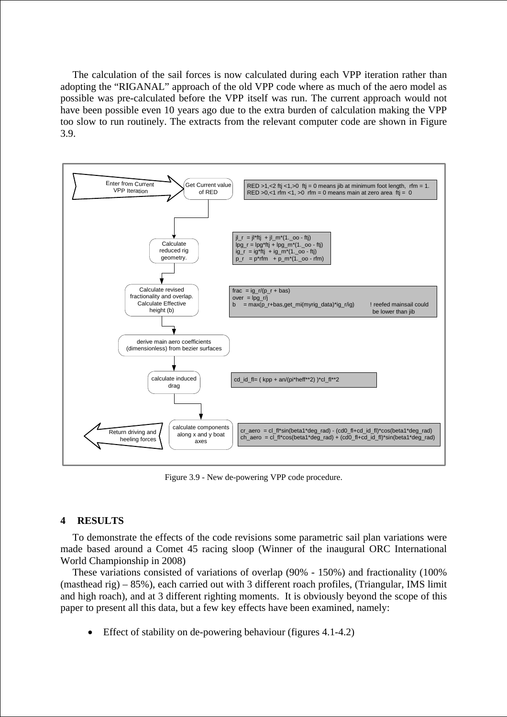The calculation of the sail forces is now calculated during each VPP iteration rather than adopting the "RIGANAL" approach of the old VPP code where as much of the aero model as possible was pre-calculated before the VPP itself was run. The current approach would not have been possible even 10 years ago due to the extra burden of calculation making the VPP too slow to run routinely. The extracts from the relevant computer code are shown in Figure 3.9.



Figure 3.9 - New de-powering VPP code procedure.

# **4 RESULTS**

To demonstrate the effects of the code revisions some parametric sail plan variations were made based around a Comet 45 racing sloop (Winner of the inaugural ORC International World Championship in 2008)

These variations consisted of variations of overlap (90% - 150%) and fractionality (100% (masthead rig) – 85%), each carried out with 3 different roach profiles, (Triangular, IMS limit and high roach), and at 3 different righting moments. It is obviously beyond the scope of this paper to present all this data, but a few key effects have been examined, namely:

• Effect of stability on de-powering behaviour (figures 4.1-4.2)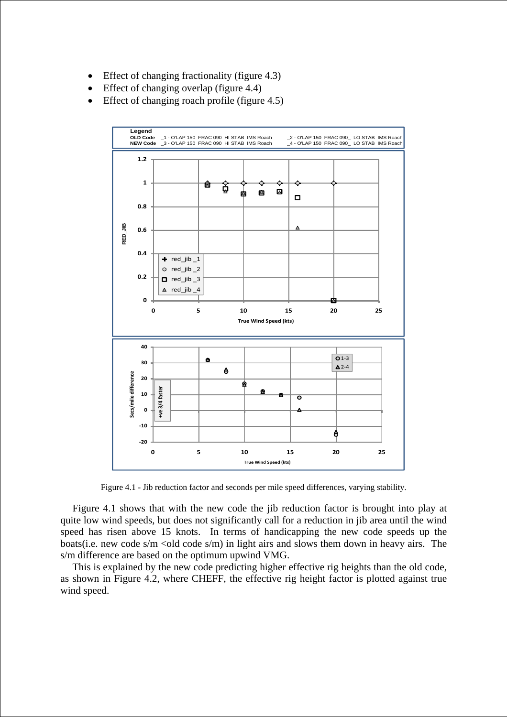- Effect of changing fractionality (figure 4.3)
- Effect of changing overlap (figure 4.4)
- Effect of changing roach profile (figure 4.5)



Figure 4.1 - Jib reduction factor and seconds per mile speed differences, varying stability.

Figure 4.1 shows that with the new code the jib reduction factor is brought into play at quite low wind speeds, but does not significantly call for a reduction in jib area until the wind speed has risen above 15 knots. In terms of handicapping the new code speeds up the boats(i.e. new code s/m  $\le$ old code s/m) in light airs and slows them down in heavy airs. The s/m difference are based on the optimum upwind VMG.

This is explained by the new code predicting higher effective rig heights than the old code, as shown in Figure 4.2, where CHEFF, the effective rig height factor is plotted against true wind speed.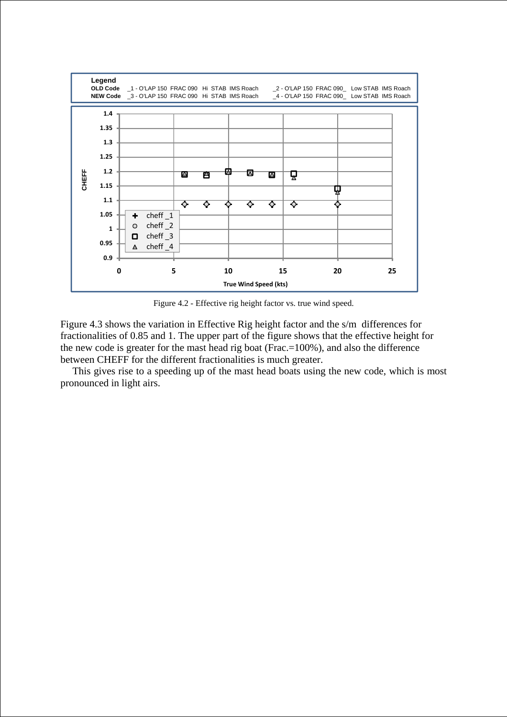

Figure 4.2 - Effective rig height factor vs. true wind speed.

Figure 4.3 shows the variation in Effective Rig height factor and the s/m differences for fractionalities of 0.85 and 1. The upper part of the figure shows that the effective height for the new code is greater for the mast head rig boat (Frac.=100%), and also the difference between CHEFF for the different fractionalities is much greater.

This gives rise to a speeding up of the mast head boats using the new code, which is most pronounced in light airs.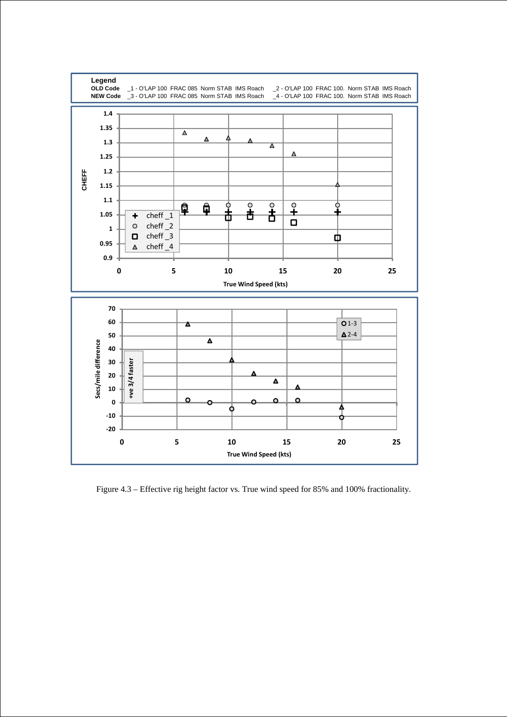

Figure 4.3 – Effective rig height factor vs. True wind speed for 85% and 100% fractionality.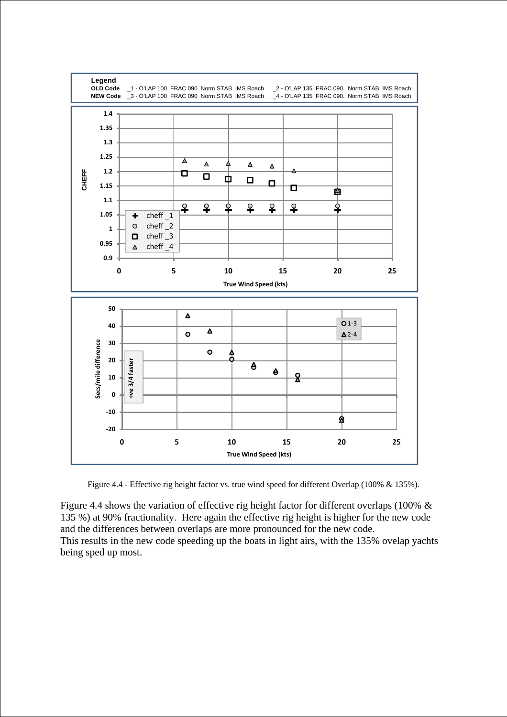

Figure 4.4 - Effective rig height factor vs. true wind speed for different Overlap (100% & 135%).

Figure 4.4 shows the variation of effective rig height factor for different overlaps (100% & 135 %) at 90% fractionality. Here again the effective rig height is higher for the new code and the differences between overlaps are more pronounced for the new code. This results in the new code speeding up the boats in light airs, with the 135% ovelap yachts being sped up most.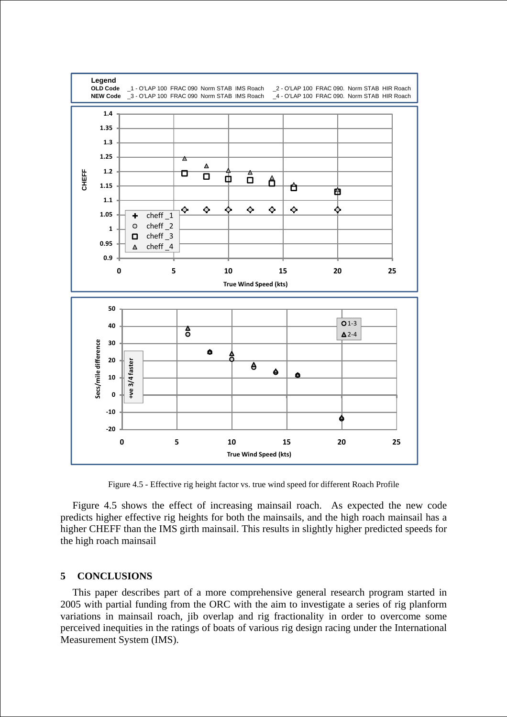

Figure 4.5 - Effective rig height factor vs. true wind speed for different Roach Profile

Figure 4.5 shows the effect of increasing mainsail roach. As expected the new code predicts higher effective rig heights for both the mainsails, and the high roach mainsail has a higher CHEFF than the IMS girth mainsail. This results in slightly higher predicted speeds for the high roach mainsail

# **5 CONCLUSIONS**

This paper describes part of a more comprehensive general research program started in 2005 with partial funding from the ORC with the aim to investigate a series of rig planform variations in mainsail roach, jib overlap and rig fractionality in order to overcome some perceived inequities in the ratings of boats of various rig design racing under the International Measurement System (IMS).